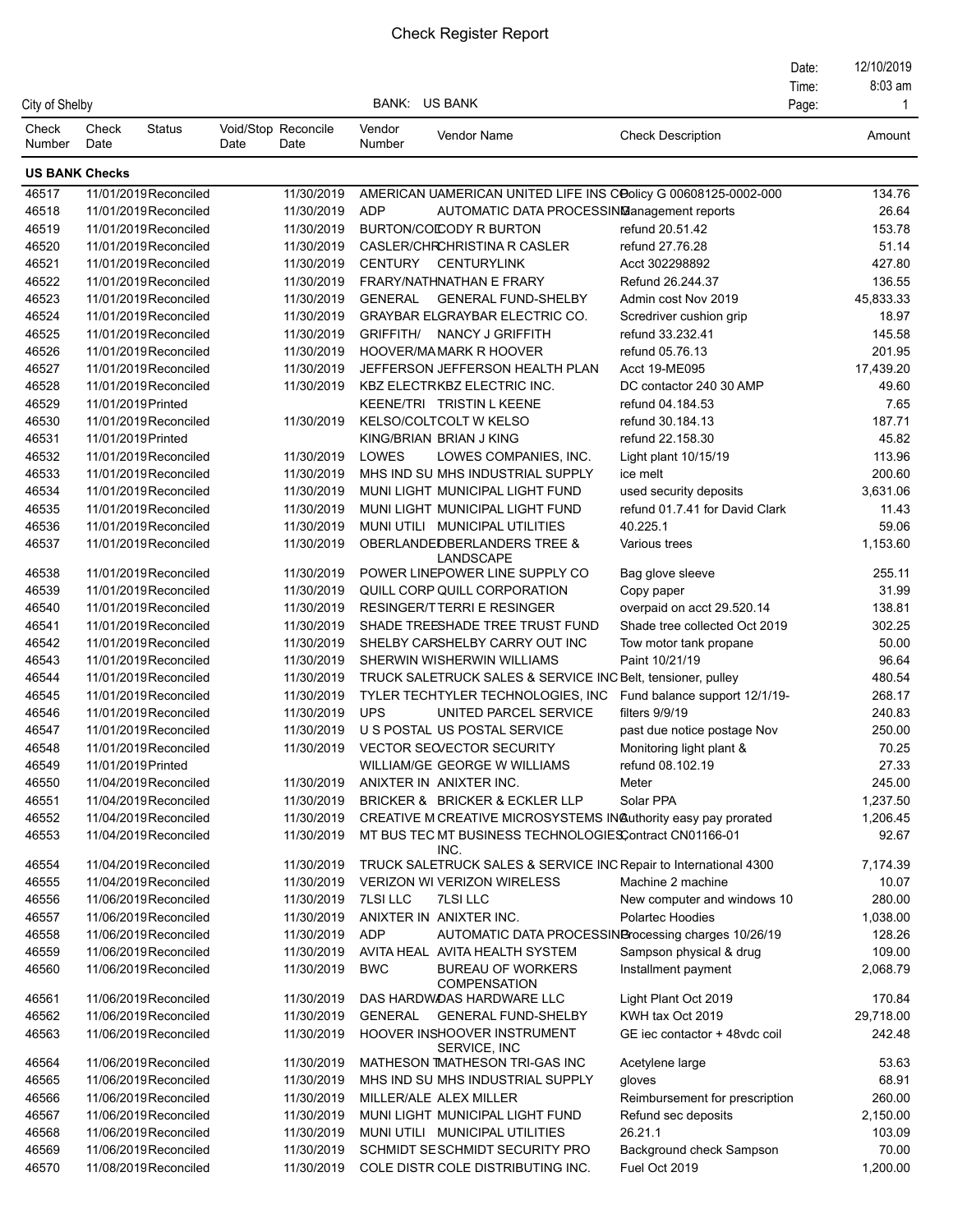## Check Register Report

|                 |                       |                                                |      |                             |                      |                                                                                                                           |                                | Date: | 12/10/2019        |
|-----------------|-----------------------|------------------------------------------------|------|-----------------------------|----------------------|---------------------------------------------------------------------------------------------------------------------------|--------------------------------|-------|-------------------|
|                 |                       |                                                |      |                             | <b>BANK: US BANK</b> |                                                                                                                           |                                | Time: | 8:03 am           |
| City of Shelby  |                       |                                                |      |                             |                      |                                                                                                                           |                                | Page: | $\mathbf 1$       |
| Check<br>Number | Check<br>Date         | <b>Status</b>                                  | Date | Void/Stop Reconcile<br>Date | Vendor<br>Number     | Vendor Name                                                                                                               | <b>Check Description</b>       |       | Amount            |
|                 | <b>US BANK Checks</b> |                                                |      |                             |                      |                                                                                                                           |                                |       |                   |
| 46517           |                       | 11/01/2019Reconciled                           |      | 11/30/2019                  |                      | AMERICAN UAMERICAN UNITED LIFE INS COolicy G 00608125-0002-000                                                            |                                |       | 134.76            |
| 46518           |                       | 11/01/2019 Reconciled                          |      | 11/30/2019                  | <b>ADP</b>           | AUTOMATIC DATA PROCESSING anagement reports                                                                               |                                |       | 26.64             |
| 46519           |                       | 11/01/2019 Reconciled                          |      | 11/30/2019                  |                      | <b>BURTON/COICODY R BURTON</b>                                                                                            | refund 20.51.42                |       | 153.78            |
| 46520           |                       | 11/01/2019 Reconciled                          |      | 11/30/2019                  |                      | CASLER/CHRCHRISTINA R CASLER                                                                                              | refund 27.76.28                |       | 51.14             |
| 46521           |                       | 11/01/2019 Reconciled                          |      | 11/30/2019                  | <b>CENTURY</b>       | <b>CENTURYLINK</b>                                                                                                        | Acct 302298892                 |       | 427.80            |
| 46522           |                       | 11/01/2019 Reconciled                          |      | 11/30/2019                  |                      | FRARY/NATHNATHAN E FRARY                                                                                                  | Refund 26.244.37               |       | 136.55            |
| 46523           |                       | 11/01/2019 Reconciled                          |      | 11/30/2019                  | <b>GENERAL</b>       | <b>GENERAL FUND-SHELBY</b>                                                                                                | Admin cost Nov 2019            |       | 45,833.33         |
| 46524           |                       | 11/01/2019 Reconciled                          |      | 11/30/2019                  |                      | <b>GRAYBAR ELGRAYBAR ELECTRIC CO.</b>                                                                                     | Scredriver cushion grip        |       | 18.97             |
| 46525           |                       | 11/01/2019 Reconciled                          |      | 11/30/2019                  | GRIFFITH/            | NANCY J GRIFFITH                                                                                                          | refund 33.232.41               |       | 145.58            |
| 46526           |                       | 11/01/2019 Reconciled                          |      | 11/30/2019                  |                      | HOOVER/MAMARK R HOOVER                                                                                                    | refund 05.76.13                |       | 201.95            |
| 46527           |                       | 11/01/2019 Reconciled                          |      | 11/30/2019                  |                      | JEFFERSON JEFFERSON HEALTH PLAN                                                                                           | Acct 19-ME095                  |       | 17,439.20         |
| 46528           |                       | 11/01/2019 Reconciled                          |      | 11/30/2019                  |                      | KBZ ELECTRKBZ ELECTRIC INC.                                                                                               | DC contactor 240 30 AMP        |       | 49.60             |
| 46529           |                       | 11/01/2019 Printed                             |      |                             |                      | KEENE/TRI TRISTIN L KEENE                                                                                                 | refund 04.184.53               |       | 7.65              |
| 46530           |                       | 11/01/2019 Reconciled                          |      | 11/30/2019                  |                      | <b>KELSO/COLTCOLT W KELSO</b>                                                                                             | refund 30.184.13               |       | 187.71            |
| 46531           |                       | 11/01/2019 Printed                             |      |                             |                      | KING/BRIAN BRIAN J KING                                                                                                   | refund 22.158.30               |       | 45.82             |
| 46532           |                       | 11/01/2019 Reconciled                          |      | 11/30/2019                  | LOWES                | LOWES COMPANIES, INC.                                                                                                     | Light plant 10/15/19           |       | 113.96            |
| 46533           |                       | 11/01/2019 Reconciled                          |      | 11/30/2019                  |                      | MHS IND SU MHS INDUSTRIAL SUPPLY                                                                                          | ice melt                       |       | 200.60            |
| 46534           |                       | 11/01/2019 Reconciled                          |      | 11/30/2019                  |                      | MUNI LIGHT MUNICIPAL LIGHT FUND                                                                                           | used security deposits         |       | 3,631.06          |
| 46535           |                       | 11/01/2019 Reconciled                          |      | 11/30/2019                  |                      | MUNI LIGHT MUNICIPAL LIGHT FUND                                                                                           | refund 01.7.41 for David Clark |       | 11.43             |
| 46536           |                       | 11/01/2019 Reconciled                          |      | 11/30/2019                  |                      | MUNI UTILI MUNICIPAL UTILITIES                                                                                            | 40.225.1                       |       | 59.06             |
| 46537           |                       | 11/01/2019 Reconciled                          |      | 11/30/2019                  |                      | OBERLANDEDBERLANDERS TREE &<br>LANDSCAPE                                                                                  | Various trees                  |       | 1,153.60          |
| 46538           |                       | 11/01/2019 Reconciled                          |      | 11/30/2019                  |                      | POWER LINEPOWER LINE SUPPLY CO                                                                                            | Bag glove sleeve               |       | 255.11            |
| 46539           |                       | 11/01/2019 Reconciled                          |      | 11/30/2019                  |                      | QUILL CORP QUILL CORPORATION                                                                                              | Copy paper                     |       | 31.99             |
| 46540           |                       | 11/01/2019 Reconciled                          |      | 11/30/2019                  |                      | <b>RESINGER/TTERRI E RESINGER</b>                                                                                         | overpaid on acct 29.520.14     |       | 138.81            |
| 46541           |                       | 11/01/2019Reconciled                           |      | 11/30/2019                  |                      | SHADE TREESHADE TREE TRUST FUND                                                                                           | Shade tree collected Oct 2019  |       | 302.25            |
| 46542           |                       | 11/01/2019 Reconciled                          |      | 11/30/2019                  |                      | SHELBY CARSHELBY CARRY OUT INC                                                                                            | Tow motor tank propane         |       | 50.00             |
| 46543           |                       | 11/01/2019 Reconciled                          |      | 11/30/2019                  |                      | SHERWIN WISHERWIN WILLIAMS                                                                                                | Paint 10/21/19                 |       | 96.64             |
| 46544           |                       | 11/01/2019 Reconciled                          |      | 11/30/2019                  |                      | TRUCK SALETRUCK SALES & SERVICE INC Belt, tensioner, pulley                                                               |                                |       | 480.54            |
| 46545           |                       | 11/01/2019 Reconciled                          |      | 11/30/2019                  |                      | TYLER TECHTYLER TECHNOLOGIES, INC                                                                                         | Fund balance support 12/1/19-  |       | 268.17            |
| 46546           |                       | 11/01/2019 Reconciled                          |      | 11/30/2019                  | <b>UPS</b>           | UNITED PARCEL SERVICE                                                                                                     | filters 9/9/19                 |       | 240.83            |
| 46547           |                       | 11/01/2019 Reconciled                          |      | 11/30/2019                  |                      | U S POSTAL US POSTAL SERVICE                                                                                              | past due notice postage Nov    |       | 250.00            |
| 46548           |                       | 11/01/2019 Reconciled                          |      | 11/30/2019                  |                      | <b>VECTOR SECVECTOR SECURITY</b>                                                                                          | Monitoring light plant &       |       | 70.25             |
| 46549           |                       | 11/01/2019 Printed                             |      |                             |                      | WILLIAM/GE GEORGE W WILLIAMS                                                                                              | refund 08.102.19               |       | 27.33             |
| 46550           |                       | 11/04/2019 Reconciled                          |      | 11/30/2019                  |                      | ANIXTER IN ANIXTER INC.                                                                                                   | Meter                          |       | 245.00            |
| 46551           |                       | 11/04/2019 Reconciled                          |      | 11/30/2019                  |                      | BRICKER & BRICKER & ECKLER LLP                                                                                            | Solar PPA                      |       | 1,237.50          |
| 46552<br>46553  |                       | 11/04/2019 Reconciled<br>11/04/2019 Reconciled |      | 11/30/2019<br>11/30/2019    |                      | CREATIVE M CREATIVE MICROSYSTEMS IN Authority easy pay prorated<br>MT BUS TEC MT BUSINESS TECHNOLOGIESContract CN01166-01 |                                |       | 1,206.45<br>92.67 |
| 46554           |                       | 11/04/2019 Reconciled                          |      | 11/30/2019                  |                      | INC.<br>TRUCK SALETRUCK SALES & SERVICE INC Repair to International 4300                                                  |                                |       | 7,174.39          |
| 46555           |                       | 11/04/2019 Reconciled                          |      | 11/30/2019                  |                      | <b>VERIZON WI VERIZON WIRELESS</b>                                                                                        | Machine 2 machine              |       | 10.07             |
| 46556           |                       | 11/06/2019 Reconciled                          |      | 11/30/2019                  | <b>7LSI LLC</b>      | <b>7LSI LLC</b>                                                                                                           | New computer and windows 10    |       | 280.00            |
| 46557           |                       | 11/06/2019 Reconciled                          |      | 11/30/2019                  |                      | ANIXTER IN ANIXTER INC.                                                                                                   | Polartec Hoodies               |       | 1,038.00          |
| 46558           |                       | 11/06/2019 Reconciled                          |      | 11/30/2019                  | <b>ADP</b>           | AUTOMATIC DATA PROCESSINBrocessing charges 10/26/19                                                                       |                                |       | 128.26            |
| 46559           |                       | 11/06/2019 Reconciled                          |      | 11/30/2019                  |                      | AVITA HEAL AVITA HEALTH SYSTEM                                                                                            | Sampson physical & drug        |       | 109.00            |
| 46560           |                       | 11/06/2019 Reconciled                          |      | 11/30/2019                  | <b>BWC</b>           | <b>BUREAU OF WORKERS</b><br><b>COMPENSATION</b>                                                                           | Installment payment            |       | 2,068.79          |
| 46561           |                       | 11/06/2019Reconciled                           |      | 11/30/2019                  |                      | DAS HARDWOAS HARDWARE LLC                                                                                                 | Light Plant Oct 2019           |       | 170.84            |
| 46562           |                       | 11/06/2019 Reconciled                          |      | 11/30/2019                  | <b>GENERAL</b>       | <b>GENERAL FUND-SHELBY</b>                                                                                                | KWH tax Oct 2019               |       | 29,718.00         |
| 46563           |                       | 11/06/2019Reconciled                           |      | 11/30/2019                  |                      | HOOVER INSHOOVER INSTRUMENT<br>SERVICE, INC                                                                               | GE iec contactor + 48vdc coil  |       | 242.48            |
| 46564           |                       | 11/06/2019Reconciled                           |      | 11/30/2019                  |                      | MATHESON TMATHESON TRI-GAS INC                                                                                            | Acetylene large                |       | 53.63             |
| 46565           |                       | 11/06/2019 Reconciled                          |      | 11/30/2019                  |                      | MHS IND SU MHS INDUSTRIAL SUPPLY                                                                                          | gloves                         |       | 68.91             |
| 46566           |                       | 11/06/2019 Reconciled                          |      | 11/30/2019                  |                      | MILLER/ALE ALEX MILLER                                                                                                    | Reimbursement for prescription |       | 260.00            |
| 46567           |                       | 11/06/2019 Reconciled                          |      | 11/30/2019                  |                      | MUNI LIGHT MUNICIPAL LIGHT FUND                                                                                           | Refund sec deposits            |       | 2,150.00          |
| 46568           |                       | 11/06/2019 Reconciled                          |      | 11/30/2019                  |                      | MUNI UTILI MUNICIPAL UTILITIES                                                                                            | 26.21.1                        |       | 103.09            |
| 46569           |                       | 11/06/2019 Reconciled                          |      | 11/30/2019                  |                      | SCHMIDT SESCHMIDT SECURITY PRO                                                                                            | Background check Sampson       |       | 70.00             |
| 46570           |                       | 11/08/2019 Reconciled                          |      | 11/30/2019                  |                      | COLE DISTR COLE DISTRIBUTING INC.                                                                                         | Fuel Oct 2019                  |       | 1,200.00          |